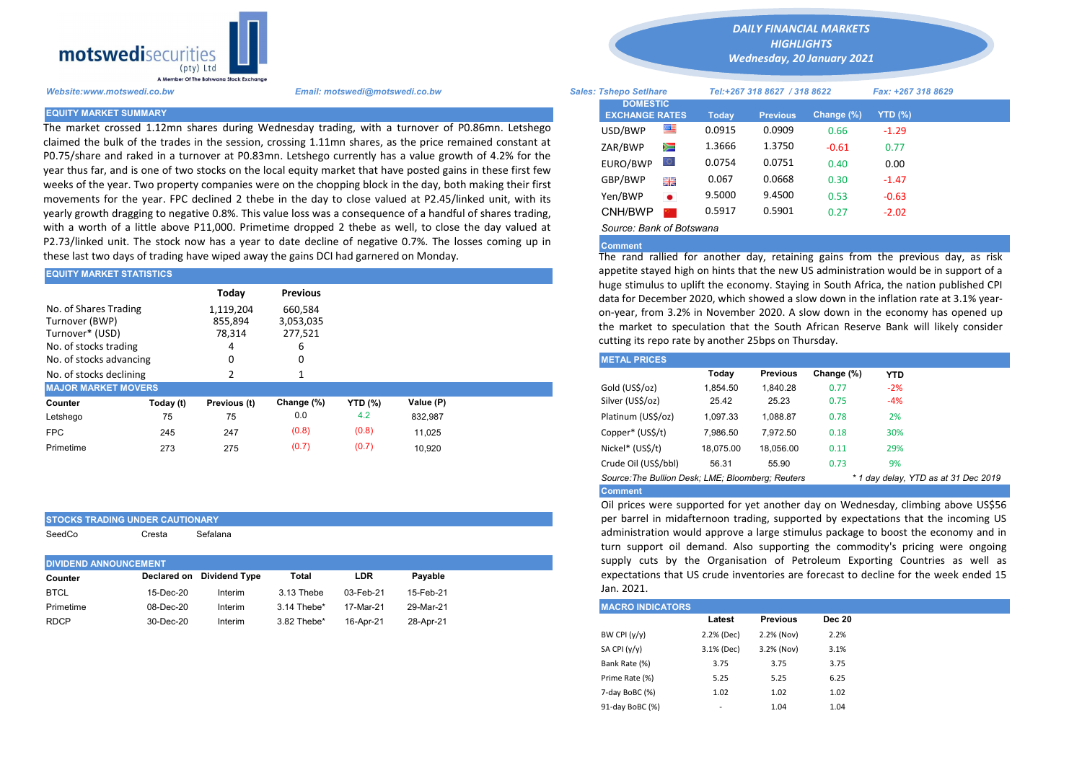

The market crossed 1.12mn shares during Wednesday trading, with a turnover of P0.86mn. Letshego claimed the bulk of the trades in the session, crossing 1.11mn shares, as the price remained constant at P0.75/share and raked in a turnover at P0.83mn. Letshego currently has a value growth of 4.2% for the year thus far, and is one of two stocks on the local equity market that have posted gains in these first few weeks of the year. Two property companies were on the chopping block in the day, both making their first movements for the year. FPC declined 2 thebe in the day to close valued at P2.45/linked unit, with its yearly growth dragging to negative 0.8%. This value loss was a consequence of a handful of shares trading, with a worth of a little above P11,000. Primetime dropped 2 thebe as well, to close the day valued at P2.73/linked unit. The stock now has a year to date decline of negative 0.7%. The losses coming up in these last two days of trading have wiped away the gains DCI had garnered on Monday.

| IEQUITY MARKET STATISTICS                                                           |           |                                     |                                 |                |           | appetite staved fight on finits that the new O3 administration would b |                                                                                                                                                                                               |           |                 |            |            |  |  |
|-------------------------------------------------------------------------------------|-----------|-------------------------------------|---------------------------------|----------------|-----------|------------------------------------------------------------------------|-----------------------------------------------------------------------------------------------------------------------------------------------------------------------------------------------|-----------|-----------------|------------|------------|--|--|
|                                                                                     |           | Today                               | <b>Previous</b>                 |                |           |                                                                        | huge stimulus to uplift the economy. Staying in South Africa, the nation<br>data for December 2020, which showed a slow down in the inflation ra                                              |           |                 |            |            |  |  |
| No. of Shares Trading<br>Turnover (BWP)<br>Turnover* (USD)<br>No. of stocks trading |           | 1,119,204<br>855.894<br>78,314<br>4 | 660,584<br>3,053,035<br>277.521 |                |           |                                                                        | on-year, from 3.2% in November 2020. A slow down in the economy<br>the market to speculation that the South African Reserve Bank will<br>cutting its repo rate by another 25 bps on Thursday. |           |                 |            |            |  |  |
| No. of stocks advancing                                                             |           | 0                                   |                                 |                |           |                                                                        | <b>METAL PRICES</b>                                                                                                                                                                           |           |                 |            |            |  |  |
| No. of stocks declining                                                             |           |                                     |                                 |                |           |                                                                        |                                                                                                                                                                                               | Today     | <b>Previous</b> | Change (%) | <b>YTD</b> |  |  |
| <b>MAJOR MARKET MOVERS</b>                                                          |           |                                     |                                 |                |           |                                                                        | Gold (US\$/oz)                                                                                                                                                                                | 1.854.50  | 1.840.28        | 0.77       | $-2%$      |  |  |
| Counter                                                                             | Today (t) | Previous (t)                        | Change (%)                      | <b>YTD</b> (%) | Value (P) |                                                                        | Silver (US\$/oz)                                                                                                                                                                              | 25.42     | 25.23           | 0.75       | $-4%$      |  |  |
| Letshego                                                                            | 75        | 75                                  | 0.0                             | 4.2            | 832,987   |                                                                        | Platinum (US\$/oz)                                                                                                                                                                            | 1,097.33  | 1,088.87        | 0.78       | 2%         |  |  |
| <b>FPC</b>                                                                          | 245       | 247                                 | (0.8)                           | (0.8)          | 11.025    |                                                                        | Copper* (US\$/t)                                                                                                                                                                              | 7,986.50  | 7.972.50        | 0.18       | 30%        |  |  |
| Primetime                                                                           | 273       | 275                                 | (0.7)                           | (0.7)          | 10.920    |                                                                        | Nickel* (US\$/t)                                                                                                                                                                              | 18.075.00 | 18.056.00       | 0.11       | 29%        |  |  |
|                                                                                     |           |                                     |                                 |                |           |                                                                        |                                                                                                                                                                                               |           |                 |            |            |  |  |

## STOCKS TRADING UNDER CAUTIONARY

| SeedCo | Cresta | Sefalana |
|--------|--------|----------|
|--------|--------|----------|

| Declared on Dividend Type<br>Pavable<br>LDR<br>Total<br>Counter              |
|------------------------------------------------------------------------------|
| <b>BTCL</b><br>03-Feb-21<br>15-Feb-21<br>15-Dec-20<br>3.13 Thebe<br>Interim  |
| 29-Mar-21<br>17-Mar-21<br>Primetime<br>08-Dec-20<br>3.14 Thebe*<br>Interim   |
| <b>RDCP</b><br>3.82 Thebe*<br>16-Apr-21<br>30-Dec-20<br>28-Apr-21<br>Interim |

*DAILY FINANCIAL MARKETS*

*HIGHLIGHTS Wednesday, 20 January 2021* 

| A Member Of the Botswand Stock Exchange |                                                                                                                                                                                                                 |                                          |           |        |                              |               |                    |  |  |
|-----------------------------------------|-----------------------------------------------------------------------------------------------------------------------------------------------------------------------------------------------------------------|------------------------------------------|-----------|--------|------------------------------|---------------|--------------------|--|--|
| Website:www.motswedi.co.bw              | Email: motswedi@motswedi.co.bw                                                                                                                                                                                  | <b>Sales: Tshepo Setlhare</b>            |           |        | Tel:+267 318 8627 / 318 8622 |               | Fax: +267 318 8629 |  |  |
| <b>EQUITY MARKET SUMMARY</b>            |                                                                                                                                                                                                                 | <b>DOMESTIC</b><br><b>EXCHANGE RATES</b> |           | Today  | <b>Previous</b>              | Change $(\%)$ | <b>YTD</b> (%)     |  |  |
|                                         | The market crossed 1.12mn shares during Wednesday trading, with a turnover of P0.86mn. Letshego                                                                                                                 | USD/BWP                                  | ≝         | 0.0915 | 0.0909                       | 0.66          | $-1.29$            |  |  |
|                                         | laimed the bulk of the trades in the session, crossing 1.11mn shares, as the price remained constant at<br>0.75/share and raked in a turnover at P0.83mn. Letshego currently has a value growth of 4.2% for the | ZAR/BWP                                  | ▓         | 1.3666 | 1.3750                       | $-0.61$       | 0.77               |  |  |
|                                         | ear thus far, and is one of two stocks on the local equity market that have posted gains in these first few                                                                                                     | EURO/BWP                                 | LO I      | 0.0754 | 0.0751                       | 0.40          | 0.00               |  |  |
|                                         | weeks of the year. Two property companies were on the chopping block in the day, both making their first                                                                                                        | GBP/BWP                                  | 開業        | 0.067  | 0.0668                       | 0.30          | $-1.47$            |  |  |
|                                         | movements for the year. FPC declined 2 thebe in the day to close valued at P2.45/linked unit, with its                                                                                                          | Yen/BWP                                  | $\bullet$ | 9.5000 | 9.4500                       | 0.53          | $-0.63$            |  |  |
|                                         | early growth dragging to negative 0.8%. This value loss was a consequence of a handful of shares trading,                                                                                                       | CNH/BWP                                  |           | 0.5917 | 0.5901                       | 0.27          | $-2.02$            |  |  |
|                                         | vith a worth of a little above P11,000. Primetime dropped 2 thebe as well, to close the day valued at                                                                                                           | Source: Bank of Botswana                 |           |        |                              |               |                    |  |  |

## **Comment**

The rand rallied for another day, retaining gains from the previous day, as risk appetite stayed high on hints that the new US administration would be in support of a huge stimulus to uplift the economy. Staying in South Africa, the nation published CPI data for December 2020, which showed a slow down in the inflation rate at 3.1% yearon-year, from 3.2% in November 2020. A slow down in the economy has opened up the market to speculation that the South African Reserve Bank will likely consider cutting its repo rate by another 25bps on Thursday.

| <b>METAL PRICES</b>                                                                       |           |                 |            |            |  |  |  |  |  |  |
|-------------------------------------------------------------------------------------------|-----------|-----------------|------------|------------|--|--|--|--|--|--|
|                                                                                           | Today     | <b>Previous</b> | Change (%) | <b>YTD</b> |  |  |  |  |  |  |
| Gold (US\$/oz)                                                                            | 1.854.50  | 1.840.28        | 0.77       | $-2%$      |  |  |  |  |  |  |
| Silver (US\$/oz)                                                                          | 25.42     | 25.23           | 0.75       | $-4%$      |  |  |  |  |  |  |
| Platinum (US\$/oz)                                                                        | 1.097.33  | 1.088.87        | 0.78       | 2%         |  |  |  |  |  |  |
| Copper* (US\$/t)                                                                          | 7.986.50  | 7.972.50        | 0.18       | 30%        |  |  |  |  |  |  |
| Nickel* (US\$/t)                                                                          | 18.075.00 | 18.056.00       | 0.11       | 29%        |  |  |  |  |  |  |
| Crude Oil (US\$/bbl)                                                                      | 56.31     | 55.90           | 0.73       | 9%         |  |  |  |  |  |  |
| Source: The Bullion Desk; LME; Bloomberg: Reuters<br>* 1 day delay, YTD as at 31 Dec 2019 |           |                 |            |            |  |  |  |  |  |  |
| <b>Comment</b>                                                                            |           |                 |            |            |  |  |  |  |  |  |

Oil prices were supported for yet another day on Wednesday, climbing above US\$56 per barrel in midafternoon trading, supported by expectations that the incoming US administration would approve a large stimulus package to boost the economy and in turn support oil demand. Also supporting the commodity's pricing were ongoing supply cuts by the Organisation of Petroleum Exporting Countries as well as expectations that US crude inventories are forecast to decline for the week ended 15 Jan. 2021.

| <b>IMACRO INDICATORS</b> |            |                 |               |
|--------------------------|------------|-----------------|---------------|
|                          | Latest     | <b>Previous</b> | <b>Dec 20</b> |
| BW CPI $(y/y)$           | 2.2% (Dec) | 2.2% (Nov)      | 2.2%          |
| SA CPI (y/y)             | 3.1% (Dec) | 3.2% (Nov)      | 3.1%          |
| Bank Rate (%)            | 3.75       | 3.75            | 3.75          |
| Prime Rate (%)           | 5.25       | 5.25            | 6.25          |
| 7-day BoBC (%)           | 1.02       | 1.02            | 1.02          |
| 91-day BoBC (%)          | -          | 1.04            | 1.04          |